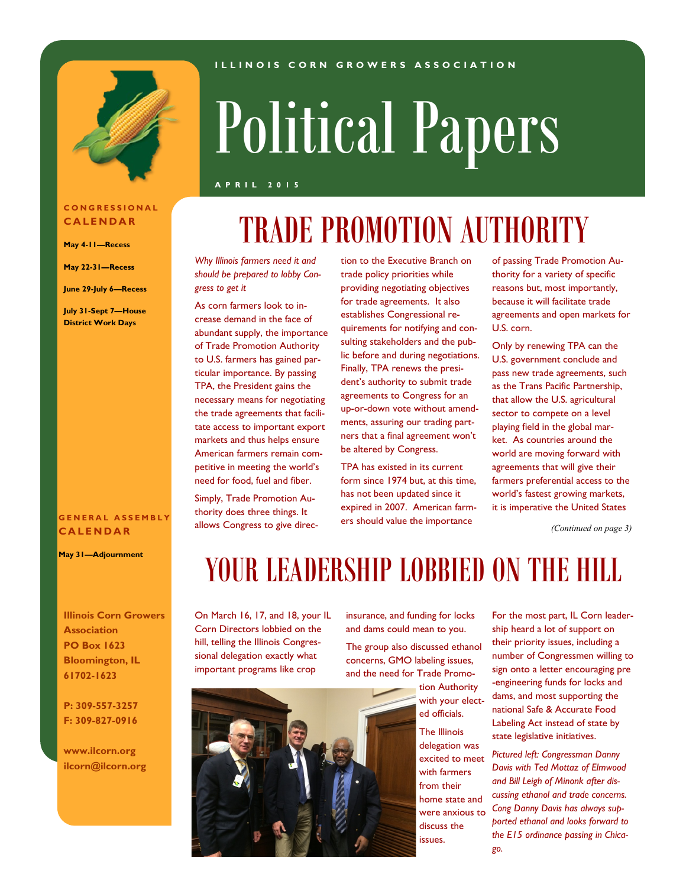

**C O N G R E S S I O N A L C A L E N D A R**

**May 4-11—Recess May 22-31—Recess**

**June 29-July 6—Recess July 31-Sept 7—House District Work Days**

### **I L L I N O I S C O R N G R O W E R S A S S O C I A T I O N**

# Political Papers

### **A P R I L 2 0 1 5**

# TRADE PROMOTION AUTHORITY

*Why Illinois farmers need it and should be prepared to lobby Congress to get it*

As corn farmers look to increase demand in the face of abundant supply, the importance of Trade Promotion Authority to U.S. farmers has gained particular importance. By passing TPA, the President gains the necessary means for negotiating the trade agreements that facilitate access to important export markets and thus helps ensure American farmers remain competitive in meeting the world's need for food, fuel and fiber.

Simply, Trade Promotion Authority does three things. It allows Congress to give direction to the Executive Branch on trade policy priorities while providing negotiating objectives for trade agreements. It also establishes Congressional requirements for notifying and consulting stakeholders and the public before and during negotiations. Finally, TPA renews the president's authority to submit trade agreements to Congress for an up-or-down vote without amendments, assuring our trading partners that a final agreement won't be altered by Congress.

TPA has existed in its current form since 1974 but, at this time, has not been updated since it expired in 2007. American farmers should value the importance

of passing Trade Promotion Authority for a variety of specific reasons but, most importantly, because it will facilitate trade agreements and open markets for U.S. corn.

Only by renewing TPA can the U.S. government conclude and pass new trade agreements, such as the Trans Pacific Partnership, that allow the U.S. agricultural sector to compete on a level playing field in the global market. As countries around the world are moving forward with agreements that will give their farmers preferential access to the world's fastest growing markets, it is imperative the United States

*(Continued on page 3)*

### **G E N E R A L A S S E M B L Y C A L E N D A R**

**May 31—Adjournment** 

**Illinois Corn Growers Association PO Box 1623 Bloomington, IL 61702-1623**

**P: 309-557-3257 F: 309-827-0916**

**www.ilcorn.org ilcorn@ilcorn.org**

### YOUR LEADERSHIP LOBBIED ON THE HILL

On March 16, 17, and 18, your IL Corn Directors lobbied on the hill, telling the Illinois Congressional delegation exactly what important programs like crop

insurance, and funding for locks and dams could mean to you.

The group also discussed ethanol concerns, GMO labeling issues, and the need for Trade Promo-

> tion Authority with your elected officials.

> The Illinois delegation was excited to meet with farmers from their home state and were anxious to discuss the issues.

For the most part, IL Corn leadership heard a lot of support on their priority issues, including a number of Congressmen willing to sign onto a letter encouraging pre -engineering funds for locks and dams, and most supporting the national Safe & Accurate Food Labeling Act instead of state by state legislative initiatives.

*Pictured left: Congressman Danny Davis with Ted Mottaz of Elmwood and Bill Leigh of Minonk after discussing ethanol and trade concerns. Cong Danny Davis has always supported ethanol and looks forward to the E15 ordinance passing in Chicago.*

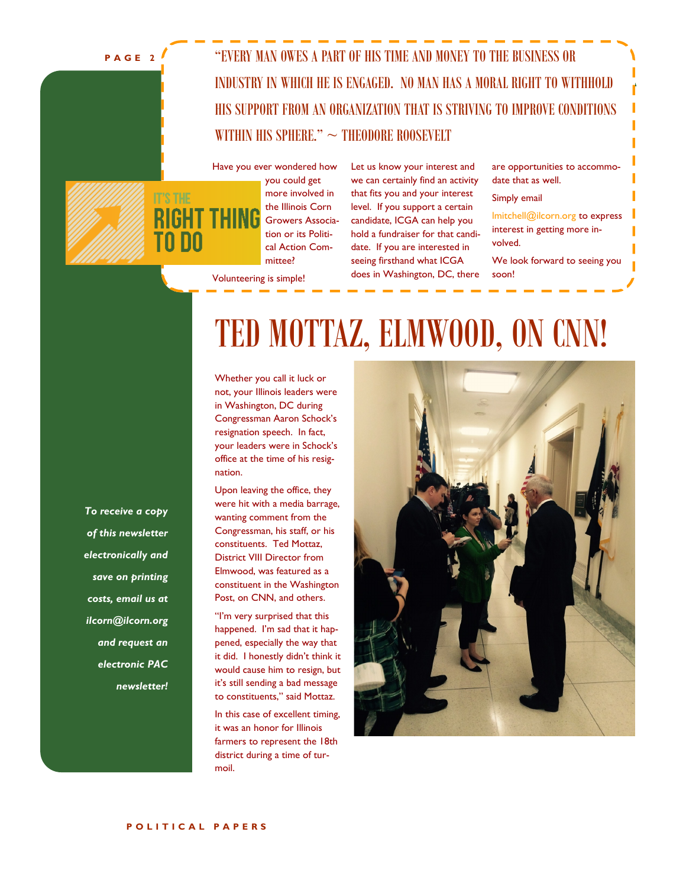**P A G E 2**

"EVERY MAN OWES A PART OF HIS TIME AND MONEY TO THE BUSINESS OR INDUSTRY IN WHICH HE IS ENGAGED. NO MAN HAS A MORAL RIGHT TO WITHHOLD HIS SUPPORT FROM AN ORGANIZATION THAT IS STRIVING TO IMPROVE CONDITIONS WITHIN HIS SPHERE."  $\sim$  Theodore roosevelt



Have you ever wondered how you could get more involved in the Illinois Corn Growers Association or its Political Action Committee?

Let us know your interest and we can certainly find an activity that fits you and your interest level. If you support a certain candidate, ICGA can help you hold a fundraiser for that candidate. If you are interested in seeing firsthand what ICGA does in Washington, DC, there are opportunities to accommodate that as well.

#### Simply email

lmitchell@ilcorn.org to express interest in getting more involved.

We look forward to seeing you soon!

Volunteering is simple!

# TED MOTTAZ, ELMWOOD, ON CNN!

Whether you call it luck or not, your Illinois leaders were in Washington, DC during Congressman Aaron Schock's resignation speech. In fact, your leaders were in Schock's office at the time of his resignation.

Upon leaving the office, they were hit with a media barrage, wanting comment from the Congressman, his staff, or his constituents. Ted Mottaz, District VIII Director from Elmwood, was featured as a constituent in the Washington Post, on CNN, and others.

"I'm very surprised that this happened. I'm sad that it happened, especially the way that it did. I honestly didn't think it would cause him to resign, but it's still sending a bad message to constituents," said Mottaz.

In this case of excellent timing, it was an honor for Illinois farmers to represent the 18th district during a time of turmoil.



*To receive a copy of this newsletter electronically and save on printing costs, email us at ilcorn@ilcorn.org and request an electronic PAC newsletter!*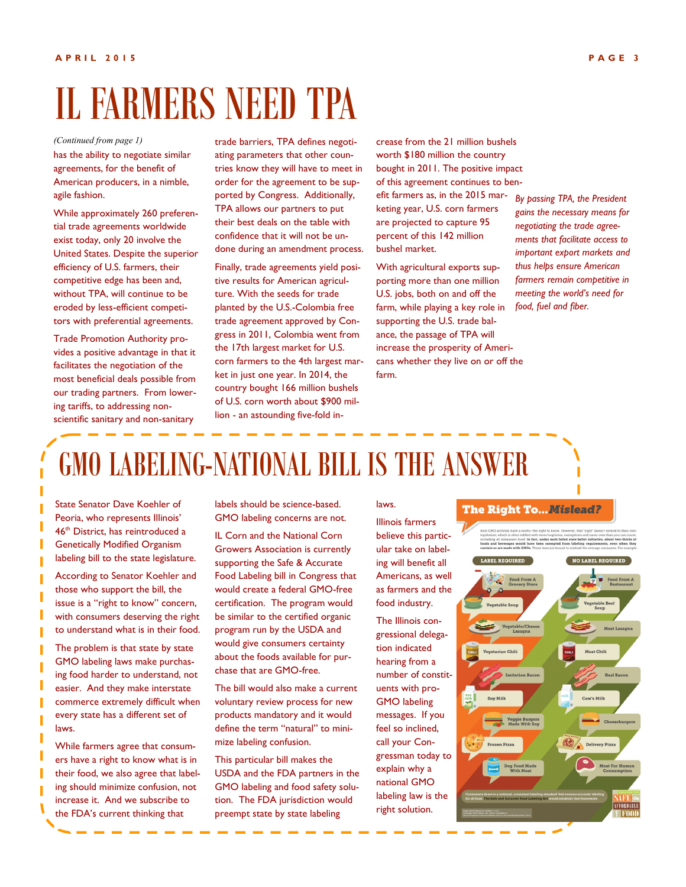# IL FARMERS NEED TPA

### *(Continued from page 1)*

has the ability to negotiate similar agreements, for the benefit of American producers, in a nimble, agile fashion.

While approximately 260 preferential trade agreements worldwide exist today, only 20 involve the United States. Despite the superior efficiency of U.S. farmers, their competitive edge has been and, without TPA, will continue to be eroded by less-efficient competitors with preferential agreements.

Trade Promotion Authority provides a positive advantage in that it facilitates the negotiation of the most beneficial deals possible from our trading partners. From lowering tariffs, to addressing nonscientific sanitary and non-sanitary

trade barriers, TPA defines negotiating parameters that other countries know they will have to meet in order for the agreement to be supported by Congress. Additionally, TPA allows our partners to put their best deals on the table with confidence that it will not be undone during an amendment process.

Finally, trade agreements yield positive results for American agriculture. With the seeds for trade planted by the U.S.-Colombia free trade agreement approved by Congress in 2011, Colombia went from the 17th largest market for U.S. corn farmers to the 4th largest market in just one year. In 2014, the country bought 166 million bushels of U.S. corn worth about \$900 million - an astounding five-fold increase from the 21 million bushels worth \$180 million the country bought in 2011. The positive impact of this agreement continues to benefit farmers as, in the 2015 marketing year, U.S. corn farmers are projected to capture 95 percent of this 142 million bushel market.

With agricultural exports supporting more than one million U.S. jobs, both on and off the farm, while playing a key role in supporting the U.S. trade balance, the passage of TPA will increase the prosperity of Americans whether they live on or off the farm.

*By passing TPA, the President gains the necessary means for negotiating the trade agreements that facilitate access to important export markets and thus helps ensure American farmers remain competitive in meeting the world's need for food, fuel and fiber.*

## GMO LABELING-NATIONAL BILL IS THE ANSWER

State Senator Dave Koehler of Peoria, who represents Illinois' 46<sup>th</sup> District, has reintroduced a Genetically Modified Organism labeling bill to the state legislature.

According to Senator Koehler and those who support the bill, the issue is a "right to know" concern, with consumers deserving the right to understand what is in their food.

The problem is that state by state GMO labeling laws make purchasing food harder to understand, not easier. And they make interstate commerce extremely difficult when every state has a different set of laws.

While farmers agree that consumers have a right to know what is in their food, we also agree that labeling should minimize confusion, not increase it. And we subscribe to the FDA's current thinking that

labels should be science-based. GMO labeling concerns are not.

IL Corn and the National Corn Growers Association is currently supporting the Safe & Accurate Food Labeling bill in Congress that would create a federal GMO-free certification. The program would be similar to the certified organic program run by the USDA and would give consumers certainty about the foods available for purchase that are GMO-free.

The bill would also make a current voluntary review process for new products mandatory and it would define the term "natural" to minimize labeling confusion.

This particular bill makes the USDA and the FDA partners in the GMO labeling and food safety solution. The FDA jurisdiction would preempt state by state labeling

### laws.

Illinois farmers believe this particular take on labeling will benefit all Americans, as well as farmers and the food industry.

The Illinois congressional delegation indicated hearing from a number of constituents with pro-GMO labeling messages. If you feel so inclined, call your Congressman today to explain why a national GMO labeling law is the right solution.

### **The Right To... Mislead?**